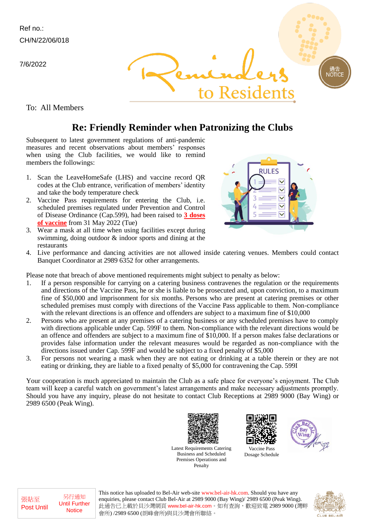7/6/2022



To: All Members

## **Re: Friendly Reminder when Patronizing the Clubs**

Subsequent to latest government regulations of anti-pandemic measures and recent observations about members' responses when using the Club facilities, we would like to remind members the followings:

- 1. Scan the LeaveHomeSafe (LHS) and vaccine record QR codes at the Club entrance, verification of members' identity and take the body temperature check
- 2. Vaccine Pass requirements for entering the Club, i.e. scheduled premises regulated under Prevention and Control of Disease Ordinance (Cap.599), had been raised to **3 doses of vaccine** from 31 May 2022 (Tue)
- 3. Wear a mask at all time when using facilities except during swimming, doing outdoor & indoor sports and dining at the restaurants



**JOTIC** 

4. Live performance and dancing activities are not allowed inside catering venues. Members could contact Banquet Coordinator at 2989 6352 for other arrangements.

Please note that breach of above mentioned requirements might subject to penalty as below:

- 1. If a person responsible for carrying on a catering business contravenes the regulation or the requirements and directions of the Vaccine Pass, he or she is liable to be prosecuted and, upon conviction, to a maximum fine of \$50,000 and imprisonment for six months. Persons who are present at catering premises or other scheduled premises must comply with directions of the Vaccine Pass applicable to them. Non-compliance with the relevant directions is an offence and offenders are subject to a maximum fine of \$10,000
- 2. Persons who are present at any premises of a catering business or any scheduled premises have to comply with directions applicable under Cap. 599F to them. Non-compliance with the relevant directions would be an offence and offenders are subject to a maximum fine of \$10,000. If a person makes false declarations or provides false information under the relevant measures would be regarded as non-compliance with the directions issued under Cap. 599F and would be subject to a fixed penalty of \$5,000
- 3. For persons not wearing a mask when they are not eating or drinking at a table therein or they are not eating or drinking, they are liable to a fixed penalty of \$5,000 for contravening the Cap. 599I

Your cooperation is much appreciated to maintain the Club as a safe place for everyone's enjoyment. The Club team will keep a careful watch on government's latest arrangements and make necessary adjustments promptly. Should you have any inquiry, please do not hesitate to contact Club Receptions at 2989 9000 (Bay Wing) or 2989 6500 (Peak Wing).



Latest Requirements Catering Business and Scheduled Premises Operations and Penalty

This notice has uploaded to Bel-Air web-site www.bel-air-hk.com. Should you have any



Vaccine Pass Dosage Schedule



enquiries, please contact Club Bel-Air at 2989 9000 (Bay Wing)/ 2989 6500 (Peak Wing). 此通告已上載於貝沙灣網頁 www.bel-air-hk.com。如有查詢,歡迎致電 2989 9000 (灣畔 會所) /2989 6500 (朗峰會所)與貝沙灣會所聯絡。



張貼至 Post Until

另行通知 Until Further **Notice**